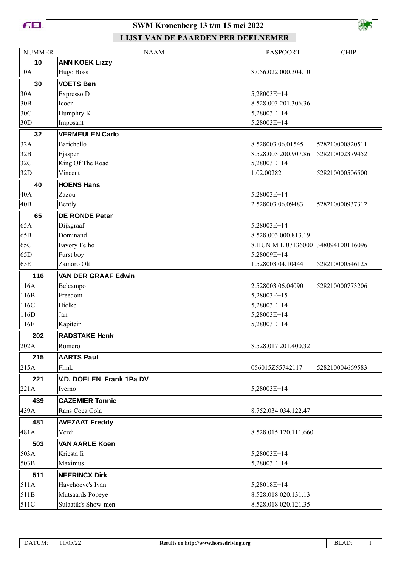



| <b>NUMMER</b>   | <b>NAAM</b>                | <b>PASPOORT</b>                    | <b>CHIP</b>     |
|-----------------|----------------------------|------------------------------------|-----------------|
| 10              | <b>ANN KOEK Lizzy</b>      |                                    |                 |
| 10A             | <b>Hugo Boss</b>           | 8.056.022.000.304.10               |                 |
| 30              | <b>VOETS Ben</b>           |                                    |                 |
| 30A             | Expresso D                 | 5,28003E+14                        |                 |
| 30B             | Icoon                      | 8.528.003.201.306.36               |                 |
| 30C             | Humphry.K                  | 5,28003E+14                        |                 |
| 30D             | Imposant                   | 5,28003E+14                        |                 |
| 32              | <b>VERMEULEN Carlo</b>     |                                    |                 |
| 32A             | Barichello                 | 8.528003 06.01545                  | 528210000820511 |
| 32B             | Ejasper                    | 8.528.003.200.907.86               | 528210002379452 |
| 32C             | King Of The Road           | 5,28003E+14                        |                 |
| 32D             | Vincent                    | 1.02.00282                         | 528210000506500 |
| 40              | <b>HOENS Hans</b>          |                                    |                 |
| 40A             | Zazou                      | 5,28003E+14                        |                 |
| 40 <sub>B</sub> | Bently                     | 2.528003 06.09483                  | 528210000937312 |
| 65              | <b>DE RONDE Peter</b>      |                                    |                 |
| 65A             | Dijkgraaf                  | 5,28003E+14                        |                 |
| 65B             | Dominand                   | 8.528.003.000.813.19               |                 |
| 65C             | Favory Felho               | 8.HUN M L 07136000 348094100116096 |                 |
| 65D             | Furst boy                  | 5,28009E+14                        |                 |
| 65E             | Zamoro Olt                 | 1.528003 04.10444                  | 528210000546125 |
| 116             | <b>VAN DER GRAAF Edwin</b> |                                    |                 |
| 116A            | Belcampo                   | 2.528003 06.04090                  | 528210000773206 |
| 116B            | Freedom                    | 5,28003E+15                        |                 |
| 116C            | Hielke                     | 5,28003E+14                        |                 |
| 116D            | Jan                        | 5,28003E+14                        |                 |
| 116E            | Kapitein                   | 5,28003E+14                        |                 |
| 202             | <b>RADSTAKE Henk</b>       |                                    |                 |
| 202A            | Romero                     | 8.528.017.201.400.32               |                 |
| 215             | <b>AARTS Paul</b>          |                                    |                 |
| 215A            | Flink                      | 056015Z55742117                    | 528210004669583 |
| 221             | V.D. DOELEN Frank 1Pa DV   |                                    |                 |
| 221A            | Iverno                     | 5,28003E+14                        |                 |
| 439             | <b>CAZEMIER Tonnie</b>     |                                    |                 |
| 439A            | Rans Coca Cola             | 8.752.034.034.122.47               |                 |
| 481             | <b>AVEZAAT Freddy</b>      |                                    |                 |
| 481A            | Verdi                      | 8.528.015.120.111.660              |                 |
| 503             | <b>VAN AARLE Koen</b>      |                                    |                 |
| 503A            | Kriesta Ii                 | 5,28003E+14                        |                 |
| 503B            | Maximus                    | 5,28003E+14                        |                 |
| 511             | <b>NEERINCX Dirk</b>       |                                    |                 |
| 511A            | Havehoeve's Ivan           | 5,28018E+14                        |                 |
| 511B            | Mutsaards Popeye           | 8.528.018.020.131.13               |                 |
| 511C            | Sulaatik's Show-men        | 8.528.018.020.121.35               |                 |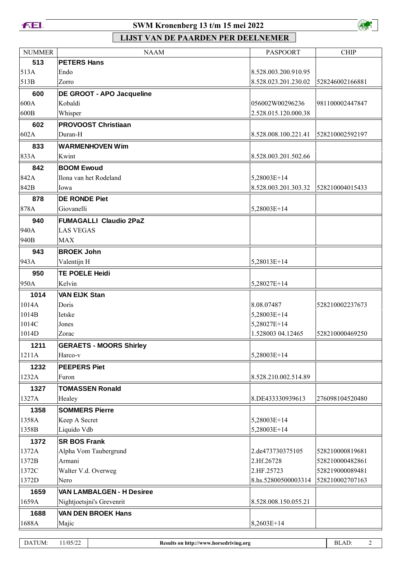



| <b>NUMMER</b> | <b>NAAM</b>                      | <b>PASPOORT</b>      | <b>CHIP</b>     |
|---------------|----------------------------------|----------------------|-----------------|
| 513           | <b>PETERS Hans</b>               |                      |                 |
| 513A          | Endo                             | 8.528.003.200.910.95 |                 |
| 513B          | Zorro                            | 8.528.023.201.230.02 | 528246002166881 |
| 600           | <b>DE GROOT - APO Jacqueline</b> |                      |                 |
| 600A          | Kobaldi                          | 056002W00296236      | 981100002447847 |
| 600B          | Whisper                          | 2.528.015.120.000.38 |                 |
| 602           | <b>PROVOOST Christiaan</b>       |                      |                 |
| 602A          | Duran-H                          | 8.528.008.100.221.41 | 528210002592197 |
| 833           | <b>WARMENHOVEN Wim</b>           |                      |                 |
| 833A          | Kwint                            | 8.528.003.201.502.66 |                 |
| 842           | <b>BOOM Ewoud</b>                |                      |                 |
| 842A          | Ilona van het Rodeland           | 5,28003E+14          |                 |
| 842B          | Iowa                             | 8.528.003.201.303.32 | 528210004015433 |
| 878           | <b>DE RONDE Piet</b>             |                      |                 |
| 878A          | Giovanelli                       | 5,28003E+14          |                 |
| 940           | <b>FUMAGALLI Claudio 2PaZ</b>    |                      |                 |
| 940A          | <b>LAS VEGAS</b>                 |                      |                 |
| 940B          | <b>MAX</b>                       |                      |                 |
| 943           | <b>BROEK John</b>                |                      |                 |
| 943A          | Valentijn H                      | 5,28013E+14          |                 |
| 950           | <b>TE POELE Heidi</b>            |                      |                 |
| 950A          | Kelvin                           | 5,28027E+14          |                 |
| 1014          | <b>VAN EIJK Stan</b>             |                      |                 |
| 1014A         | Doris                            | 8.08.07487           | 528210002237673 |
| 1014B         | Ietske                           | 5,28003E+14          |                 |
| 1014C         | Jones                            | 5,28027E+14          |                 |
| 1014D         | Zorac                            | 1.528003 04.12465    | 528210000469250 |
| 1211          | <b>GERAETS - MOORS Shirley</b>   |                      |                 |
| 1211A         | Harco-v                          | 5,28003E+14          |                 |
| 1232          | <b>PEEPERS Piet</b>              |                      |                 |
| 1232A         | Furon                            | 8.528.210.002.514.89 |                 |
| 1327          | <b>TOMASSEN Ronald</b>           |                      |                 |
| 1327A         | Healey                           | 8.DE433330939613     | 276098104520480 |
| 1358          | <b>SOMMERS Pierre</b>            |                      |                 |
| 1358A         | Keep A Secret                    | 5,28003E+14          |                 |
| 1358B         | Liquido Vdb                      | 5,28003E+14          |                 |
| 1372          | <b>SR BOS Frank</b>              |                      |                 |
| 1372A         | Alpha Vom Taubergrund            | 2.de473730375105     | 528210000819681 |
| 1372B         | Armani                           | 2.Hf.26728           | 528210000482861 |
| 1372C         | Walter V.d. Overweg              | 2.HF.25723           | 528219000089481 |
| 1372D         | Nero                             | 8.hs.52800500003314  | 528210002707163 |
| 1659          | <b>VAN LAMBALGEN - H Desiree</b> |                      |                 |
| 1659A         | Nightjoetsjni's Grevenrit        | 8.528.008.150.055.21 |                 |
| 1688          | <b>VAN DEN BROEK Hans</b>        |                      |                 |
| 1688A         | Majic                            | 8,2603E+14           |                 |
|               |                                  |                      |                 |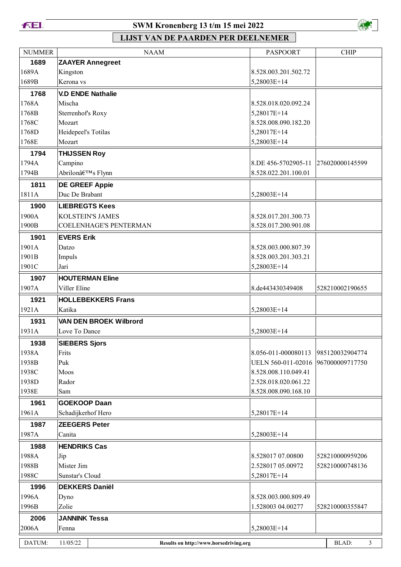



| <b>NUMMER</b> | <b>NAAM</b>                                        | <b>PASPOORT</b>      | <b>CHIP</b>     |
|---------------|----------------------------------------------------|----------------------|-----------------|
| 1689          | <b>ZAAYER Annegreet</b>                            |                      |                 |
| 1689A         | Kingston                                           | 8.528.003.201.502.72 |                 |
| 1689B         | Kerona vs                                          | 5,28003E+14          |                 |
| 1768          | <b>V.D ENDE Nathalie</b>                           |                      |                 |
| 1768A         | Mischa                                             | 8.528.018.020.092.24 |                 |
| 1768B         | Sterrenhof's Roxy                                  | 5,28017E+14          |                 |
| 1768C         | Mozart                                             | 8.528.008.090.182.20 |                 |
| 1768D         | Heidepeel's Totilas                                | 5,28017E+14          |                 |
| 1768E         | Mozart                                             | 5,28003E+14          |                 |
| 1794          | <b>THIJSSEN Roy</b>                                |                      |                 |
| 1794A         | Campino                                            | 8.DE 456-5702905-11  | 276020000145599 |
| 1794B         | Abrilon's Flynn                                    | 8.528.022.201.100.01 |                 |
| 1811          | <b>DE GREEF Appie</b>                              |                      |                 |
| 1811A         | Duc De Brabant                                     | 5,28003E+14          |                 |
| 1900          | <b>LIEBREGTS Kees</b>                              |                      |                 |
| 1900A         | <b>KOLSTEIN'S JAMES</b>                            | 8.528.017.201.300.73 |                 |
| 1900B         | <b>COELENHAGE'S PENTERMAN</b>                      | 8.528.017.200.901.08 |                 |
| 1901          | <b>EVERS Erik</b>                                  |                      |                 |
| 1901A         | Datzo                                              | 8.528.003.000.807.39 |                 |
| 1901B         | Impuls                                             | 8.528.003.201.303.21 |                 |
| 1901C         | Jari                                               | 5,28003E+14          |                 |
| 1907          | <b>HOUTERMAN Eline</b>                             |                      |                 |
| 1907A         | Viller Eline                                       | 8.de443430349408     | 528210002190655 |
| 1921          | <b>HOLLEBEKKERS Frans</b>                          |                      |                 |
| 1921A         | Katika                                             | 5,28003E+14          |                 |
| 1931          | <b>VAN DEN BROEK Wilbrord</b>                      |                      |                 |
| 1931A         | Love To Dance                                      | 5,28003E+14          |                 |
|               |                                                    |                      |                 |
| 1938<br>1938A | <b>SIEBERS Sjors</b><br>Frits                      | 8.056-011-000080113  | 985120032904774 |
| 1938B         | Puk                                                | UELN 560-011-02016   | 967000009717750 |
| 1938C         | Moos                                               | 8.528.008.110.049.41 |                 |
| 1938D         | Rador                                              | 2.528.018.020.061.22 |                 |
| 1938E         | Sam                                                | 8.528.008.090.168.10 |                 |
| 1961          | <b>GOEKOOP Daan</b>                                |                      |                 |
| 1961A         | Schadijkerhof Hero                                 | 5,28017E+14          |                 |
| 1987          | <b>ZEEGERS Peter</b>                               |                      |                 |
| 1987A         | Canita                                             | 5,28003E+14          |                 |
|               | <b>HENDRIKS Cas</b>                                |                      |                 |
| 1988<br>1988A | Jip                                                | 8.528017 07.00800    | 528210000959206 |
| 1988B         | Mister Jim                                         | 2.528017 05.00972    | 528210000748136 |
| 1988C         | Sunstar's Cloud                                    | 5,28017E+14          |                 |
| 1996          | <b>DEKKERS Daniël</b>                              |                      |                 |
| 1996A         | Dyno                                               | 8.528.003.000.809.49 |                 |
| 1996B         | Zolie                                              | 1.528003 04.00277    | 528210000355847 |
|               |                                                    |                      |                 |
| 2006          | <b>JANNINK Tessa</b>                               |                      |                 |
| 2006A         | Fenna                                              | 5,28003E+14          |                 |
| DATUM:        | 11/05/22<br>Results on http://www.horsedriving.org |                      | BLAD:<br>3      |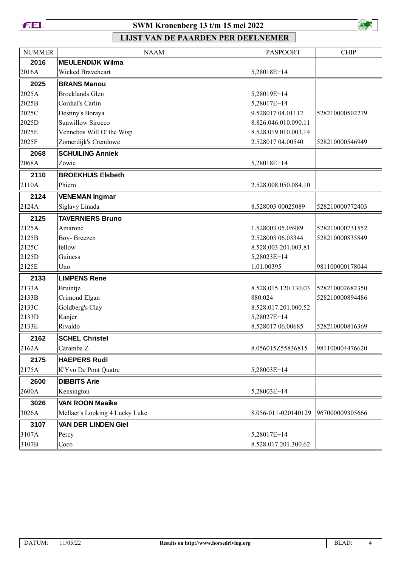



| <b>NUMMER</b> | <b>NAAM</b>                    | <b>PASPOORT</b>      | <b>CHIP</b>     |
|---------------|--------------------------------|----------------------|-----------------|
| 2016          | <b>MEULENDIJK Wilma</b>        |                      |                 |
| 2016A         | Wicked Braveheart              | 5,28018E+14          |                 |
| 2025          | <b>BRANS Manou</b>             |                      |                 |
| 2025A         | <b>Broeklands Glen</b>         | 5,28019E+14          |                 |
| 2025B         | Cordial's Carlin               | 5,28017E+14          |                 |
| 2025C         | Destiny's Boraya               | 9.528017 04.01112    | 528210000502279 |
| 2025D         | <b>Sunwillow Sirocco</b>       | 8.826.046.010.090.11 |                 |
| 2025E         | Vennebos Will O' the Wisp      | 8.528.019.010.003.14 |                 |
| 2025F         | Zomerdijk's Crendowe           | 2.528017 04.00540    | 528210000546949 |
| 2068          | <b>SCHUILING Anniek</b>        |                      |                 |
| 2068A         | Zowie                          | 5,28018E+14          |                 |
| 2110          | <b>BROEKHUIS Elsbeth</b>       |                      |                 |
| 2110A         | Phiero                         | 2.528.008.050.084.10 |                 |
| 2124          | <b>VENEMAN Ingmar</b>          |                      |                 |
| 2124A         | Siglavy Linada                 | 8.528003 00025089    | 528210000772403 |
| 2125          | <b>TAVERNIERS Bruno</b>        |                      |                 |
| 2125A         | Amarone                        | 1.528003 05.05989    | 528210000731552 |
| 2125B         | Boy-Breezen                    | 2.528003 06.03344    | 528210000835849 |
| 2125C         | fellow                         | 8.528.003.201.003.81 |                 |
| 2125D         | Guiness                        | 5,28023E+14          |                 |
| 2125E         | Uno                            | 1.01.00395           | 981100000178044 |
| 2133          | <b>LIMPENS Rene</b>            |                      |                 |
| 2133A         | Bruintje                       | 8.528.015.120.130.03 | 528210002682350 |
| 2133B         | Crimond Elgan                  | 880.024              | 528210000894486 |
| 2133C         | Goldberg's Clay                | 8.528.017.201.000.52 |                 |
| 2133D         | Kanjer                         | 5,28027E+14          |                 |
| 2133E         | Rivaldo                        | 8.528017 06.00685    | 528210000816369 |
| 2162          | <b>SCHEL Christel</b>          |                      |                 |
| 2162A         | Caramba Z                      | 8.056015Z55836815    | 981100004476620 |
| 2175          | <b>HAEPERS Rudi</b>            |                      |                 |
| 2175A         | K'Yvo De Pont Quatre           | 5,28003E+14          |                 |
| 2600          | <b>DIBBITS Arie</b>            |                      |                 |
| 2600A         | Kensington                     | 5,28003E+14          |                 |
| 3026          | <b>VAN ROON Maaike</b>         |                      |                 |
| 3026A         | Mellaer's Looking 4 Lucky Luke | 8.056-011-020140129  | 967000009305666 |
| 3107          | <b>VAN DER LINDEN Giel</b>     |                      |                 |
| 3107A         | Percy                          | 5,28017E+14          |                 |
| 3107B         | Coco                           | 8.528.017.201.300.62 |                 |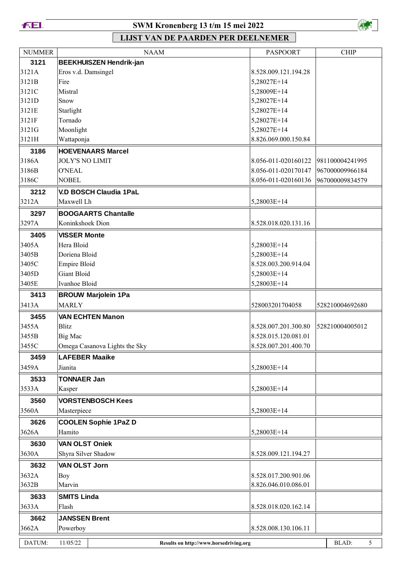



| 3121<br><b>BEEKHUISZEN Hendrik-jan</b><br>3121A<br>Eros v.d. Damsingel<br>8.528.009.121.194.28<br>3121B<br>Fire<br>5,28027E+14<br>3121C<br>Mistral<br>5,28009E+14<br>3121D<br>5,28027E+14<br>Snow<br>3121E<br>Starlight<br>5,28027E+14<br>Tornado<br>3121F<br>5,28027E+14<br>Moonlight<br>3121G<br>5,28027E+14<br>8.826.069.000.150.84<br>3121H<br>Wattaponja<br>3186<br><b>HOEVENAARS Marcel</b><br>3186A<br><b>JOLY'S NO LIMIT</b><br>8.056-011-020160122<br>981100004241995<br>3186B<br><b>O'NEAL</b><br>8.056-011-020170147<br>967000009966184<br>3186C<br>8.056-011-020160136<br><b>NOBEL</b><br>967000009834579<br><b>V.D BOSCH Claudia 1PaL</b><br>3212<br>3212A<br>Maxwell Lh<br>5,28003E+14<br><b>BOOGAARTS Chantalle</b><br>3297<br>3297A<br>Koninkshoek Dion<br>8.528.018.020.131.16<br>3405<br><b>VISSER Monte</b><br>Hera Bloid<br>3405A<br>5,28003E+14<br>3405B<br>Doriena Bloid<br>5,28003E+14<br>3405C<br><b>Empire Bloid</b><br>8.528.003.200.914.04<br><b>Giant Bloid</b><br>3405D<br>5,28003E+14<br>Ivanhoe Bloid<br>3405E<br>5,28003E+14<br>3413<br><b>BROUW Marjolein 1Pa</b><br><b>MARLY</b><br>3413A<br>528003201704058<br>528210004692680<br>3455<br><b>VAN ECHTEN Manon</b><br>528210004005012<br>3455A<br><b>Blitz</b><br>8.528.007.201.300.80<br>3455B<br>8.528.015.120.081.01<br>Big Mac<br>3455C<br>8.528.007.201.400.70<br>Omega Casanova Lights the Sky<br>3459<br><b>LAFEBER Maaike</b><br>3459A<br>5,28003E+14<br>Jianita<br>3533<br><b>TONNAER Jan</b><br>3533A<br>5,28003E+14<br>Kasper<br><b>VORSTENBOSCH Kees</b><br>3560<br>5,28003E+14<br>3560A<br>Masterpiece<br>3626<br><b>COOLEN Sophie 1PaZ D</b><br>Hamito<br>3626A<br>5,28003E+14<br><b>VAN OLST Oniek</b><br>3630<br>3630A<br>Shyra Silver Shadow<br>8.528.009.121.194.27<br>3632<br><b>VAN OLST Jorn</b><br>3632A<br>8.528.017.200.901.06<br>Boy<br>3632B<br>Marvin<br>8.826.046.010.086.01<br>3633<br><b>SMITS Linda</b><br>8.528.018.020.162.14<br>3633A<br>Flash<br>3662<br><b>JANSSEN Brent</b><br>3662A<br>Powerboy<br>8.528.008.130.106.11 | <b>NUMMER</b> | <b>NAAM</b>                                        | <b>PASPOORT</b> | <b>CHIP</b> |
|-------------------------------------------------------------------------------------------------------------------------------------------------------------------------------------------------------------------------------------------------------------------------------------------------------------------------------------------------------------------------------------------------------------------------------------------------------------------------------------------------------------------------------------------------------------------------------------------------------------------------------------------------------------------------------------------------------------------------------------------------------------------------------------------------------------------------------------------------------------------------------------------------------------------------------------------------------------------------------------------------------------------------------------------------------------------------------------------------------------------------------------------------------------------------------------------------------------------------------------------------------------------------------------------------------------------------------------------------------------------------------------------------------------------------------------------------------------------------------------------------------------------------------------------------------------------------------------------------------------------------------------------------------------------------------------------------------------------------------------------------------------------------------------------------------------------------------------------------------------------------------------------------------------------------------------------------------------------------------------------------------------------------------------------------|---------------|----------------------------------------------------|-----------------|-------------|
|                                                                                                                                                                                                                                                                                                                                                                                                                                                                                                                                                                                                                                                                                                                                                                                                                                                                                                                                                                                                                                                                                                                                                                                                                                                                                                                                                                                                                                                                                                                                                                                                                                                                                                                                                                                                                                                                                                                                                                                                                                                 |               |                                                    |                 |             |
|                                                                                                                                                                                                                                                                                                                                                                                                                                                                                                                                                                                                                                                                                                                                                                                                                                                                                                                                                                                                                                                                                                                                                                                                                                                                                                                                                                                                                                                                                                                                                                                                                                                                                                                                                                                                                                                                                                                                                                                                                                                 |               |                                                    |                 |             |
|                                                                                                                                                                                                                                                                                                                                                                                                                                                                                                                                                                                                                                                                                                                                                                                                                                                                                                                                                                                                                                                                                                                                                                                                                                                                                                                                                                                                                                                                                                                                                                                                                                                                                                                                                                                                                                                                                                                                                                                                                                                 |               |                                                    |                 |             |
|                                                                                                                                                                                                                                                                                                                                                                                                                                                                                                                                                                                                                                                                                                                                                                                                                                                                                                                                                                                                                                                                                                                                                                                                                                                                                                                                                                                                                                                                                                                                                                                                                                                                                                                                                                                                                                                                                                                                                                                                                                                 |               |                                                    |                 |             |
|                                                                                                                                                                                                                                                                                                                                                                                                                                                                                                                                                                                                                                                                                                                                                                                                                                                                                                                                                                                                                                                                                                                                                                                                                                                                                                                                                                                                                                                                                                                                                                                                                                                                                                                                                                                                                                                                                                                                                                                                                                                 |               |                                                    |                 |             |
|                                                                                                                                                                                                                                                                                                                                                                                                                                                                                                                                                                                                                                                                                                                                                                                                                                                                                                                                                                                                                                                                                                                                                                                                                                                                                                                                                                                                                                                                                                                                                                                                                                                                                                                                                                                                                                                                                                                                                                                                                                                 |               |                                                    |                 |             |
|                                                                                                                                                                                                                                                                                                                                                                                                                                                                                                                                                                                                                                                                                                                                                                                                                                                                                                                                                                                                                                                                                                                                                                                                                                                                                                                                                                                                                                                                                                                                                                                                                                                                                                                                                                                                                                                                                                                                                                                                                                                 |               |                                                    |                 |             |
|                                                                                                                                                                                                                                                                                                                                                                                                                                                                                                                                                                                                                                                                                                                                                                                                                                                                                                                                                                                                                                                                                                                                                                                                                                                                                                                                                                                                                                                                                                                                                                                                                                                                                                                                                                                                                                                                                                                                                                                                                                                 |               |                                                    |                 |             |
|                                                                                                                                                                                                                                                                                                                                                                                                                                                                                                                                                                                                                                                                                                                                                                                                                                                                                                                                                                                                                                                                                                                                                                                                                                                                                                                                                                                                                                                                                                                                                                                                                                                                                                                                                                                                                                                                                                                                                                                                                                                 |               |                                                    |                 |             |
|                                                                                                                                                                                                                                                                                                                                                                                                                                                                                                                                                                                                                                                                                                                                                                                                                                                                                                                                                                                                                                                                                                                                                                                                                                                                                                                                                                                                                                                                                                                                                                                                                                                                                                                                                                                                                                                                                                                                                                                                                                                 |               |                                                    |                 |             |
|                                                                                                                                                                                                                                                                                                                                                                                                                                                                                                                                                                                                                                                                                                                                                                                                                                                                                                                                                                                                                                                                                                                                                                                                                                                                                                                                                                                                                                                                                                                                                                                                                                                                                                                                                                                                                                                                                                                                                                                                                                                 |               |                                                    |                 |             |
|                                                                                                                                                                                                                                                                                                                                                                                                                                                                                                                                                                                                                                                                                                                                                                                                                                                                                                                                                                                                                                                                                                                                                                                                                                                                                                                                                                                                                                                                                                                                                                                                                                                                                                                                                                                                                                                                                                                                                                                                                                                 |               |                                                    |                 |             |
|                                                                                                                                                                                                                                                                                                                                                                                                                                                                                                                                                                                                                                                                                                                                                                                                                                                                                                                                                                                                                                                                                                                                                                                                                                                                                                                                                                                                                                                                                                                                                                                                                                                                                                                                                                                                                                                                                                                                                                                                                                                 |               |                                                    |                 |             |
|                                                                                                                                                                                                                                                                                                                                                                                                                                                                                                                                                                                                                                                                                                                                                                                                                                                                                                                                                                                                                                                                                                                                                                                                                                                                                                                                                                                                                                                                                                                                                                                                                                                                                                                                                                                                                                                                                                                                                                                                                                                 |               |                                                    |                 |             |
|                                                                                                                                                                                                                                                                                                                                                                                                                                                                                                                                                                                                                                                                                                                                                                                                                                                                                                                                                                                                                                                                                                                                                                                                                                                                                                                                                                                                                                                                                                                                                                                                                                                                                                                                                                                                                                                                                                                                                                                                                                                 |               |                                                    |                 |             |
|                                                                                                                                                                                                                                                                                                                                                                                                                                                                                                                                                                                                                                                                                                                                                                                                                                                                                                                                                                                                                                                                                                                                                                                                                                                                                                                                                                                                                                                                                                                                                                                                                                                                                                                                                                                                                                                                                                                                                                                                                                                 |               |                                                    |                 |             |
|                                                                                                                                                                                                                                                                                                                                                                                                                                                                                                                                                                                                                                                                                                                                                                                                                                                                                                                                                                                                                                                                                                                                                                                                                                                                                                                                                                                                                                                                                                                                                                                                                                                                                                                                                                                                                                                                                                                                                                                                                                                 |               |                                                    |                 |             |
|                                                                                                                                                                                                                                                                                                                                                                                                                                                                                                                                                                                                                                                                                                                                                                                                                                                                                                                                                                                                                                                                                                                                                                                                                                                                                                                                                                                                                                                                                                                                                                                                                                                                                                                                                                                                                                                                                                                                                                                                                                                 |               |                                                    |                 |             |
|                                                                                                                                                                                                                                                                                                                                                                                                                                                                                                                                                                                                                                                                                                                                                                                                                                                                                                                                                                                                                                                                                                                                                                                                                                                                                                                                                                                                                                                                                                                                                                                                                                                                                                                                                                                                                                                                                                                                                                                                                                                 |               |                                                    |                 |             |
|                                                                                                                                                                                                                                                                                                                                                                                                                                                                                                                                                                                                                                                                                                                                                                                                                                                                                                                                                                                                                                                                                                                                                                                                                                                                                                                                                                                                                                                                                                                                                                                                                                                                                                                                                                                                                                                                                                                                                                                                                                                 |               |                                                    |                 |             |
|                                                                                                                                                                                                                                                                                                                                                                                                                                                                                                                                                                                                                                                                                                                                                                                                                                                                                                                                                                                                                                                                                                                                                                                                                                                                                                                                                                                                                                                                                                                                                                                                                                                                                                                                                                                                                                                                                                                                                                                                                                                 |               |                                                    |                 |             |
|                                                                                                                                                                                                                                                                                                                                                                                                                                                                                                                                                                                                                                                                                                                                                                                                                                                                                                                                                                                                                                                                                                                                                                                                                                                                                                                                                                                                                                                                                                                                                                                                                                                                                                                                                                                                                                                                                                                                                                                                                                                 |               |                                                    |                 |             |
|                                                                                                                                                                                                                                                                                                                                                                                                                                                                                                                                                                                                                                                                                                                                                                                                                                                                                                                                                                                                                                                                                                                                                                                                                                                                                                                                                                                                                                                                                                                                                                                                                                                                                                                                                                                                                                                                                                                                                                                                                                                 |               |                                                    |                 |             |
|                                                                                                                                                                                                                                                                                                                                                                                                                                                                                                                                                                                                                                                                                                                                                                                                                                                                                                                                                                                                                                                                                                                                                                                                                                                                                                                                                                                                                                                                                                                                                                                                                                                                                                                                                                                                                                                                                                                                                                                                                                                 |               |                                                    |                 |             |
|                                                                                                                                                                                                                                                                                                                                                                                                                                                                                                                                                                                                                                                                                                                                                                                                                                                                                                                                                                                                                                                                                                                                                                                                                                                                                                                                                                                                                                                                                                                                                                                                                                                                                                                                                                                                                                                                                                                                                                                                                                                 |               |                                                    |                 |             |
|                                                                                                                                                                                                                                                                                                                                                                                                                                                                                                                                                                                                                                                                                                                                                                                                                                                                                                                                                                                                                                                                                                                                                                                                                                                                                                                                                                                                                                                                                                                                                                                                                                                                                                                                                                                                                                                                                                                                                                                                                                                 |               |                                                    |                 |             |
|                                                                                                                                                                                                                                                                                                                                                                                                                                                                                                                                                                                                                                                                                                                                                                                                                                                                                                                                                                                                                                                                                                                                                                                                                                                                                                                                                                                                                                                                                                                                                                                                                                                                                                                                                                                                                                                                                                                                                                                                                                                 |               |                                                    |                 |             |
|                                                                                                                                                                                                                                                                                                                                                                                                                                                                                                                                                                                                                                                                                                                                                                                                                                                                                                                                                                                                                                                                                                                                                                                                                                                                                                                                                                                                                                                                                                                                                                                                                                                                                                                                                                                                                                                                                                                                                                                                                                                 |               |                                                    |                 |             |
|                                                                                                                                                                                                                                                                                                                                                                                                                                                                                                                                                                                                                                                                                                                                                                                                                                                                                                                                                                                                                                                                                                                                                                                                                                                                                                                                                                                                                                                                                                                                                                                                                                                                                                                                                                                                                                                                                                                                                                                                                                                 |               |                                                    |                 |             |
|                                                                                                                                                                                                                                                                                                                                                                                                                                                                                                                                                                                                                                                                                                                                                                                                                                                                                                                                                                                                                                                                                                                                                                                                                                                                                                                                                                                                                                                                                                                                                                                                                                                                                                                                                                                                                                                                                                                                                                                                                                                 |               |                                                    |                 |             |
|                                                                                                                                                                                                                                                                                                                                                                                                                                                                                                                                                                                                                                                                                                                                                                                                                                                                                                                                                                                                                                                                                                                                                                                                                                                                                                                                                                                                                                                                                                                                                                                                                                                                                                                                                                                                                                                                                                                                                                                                                                                 |               |                                                    |                 |             |
|                                                                                                                                                                                                                                                                                                                                                                                                                                                                                                                                                                                                                                                                                                                                                                                                                                                                                                                                                                                                                                                                                                                                                                                                                                                                                                                                                                                                                                                                                                                                                                                                                                                                                                                                                                                                                                                                                                                                                                                                                                                 |               |                                                    |                 |             |
|                                                                                                                                                                                                                                                                                                                                                                                                                                                                                                                                                                                                                                                                                                                                                                                                                                                                                                                                                                                                                                                                                                                                                                                                                                                                                                                                                                                                                                                                                                                                                                                                                                                                                                                                                                                                                                                                                                                                                                                                                                                 |               |                                                    |                 |             |
|                                                                                                                                                                                                                                                                                                                                                                                                                                                                                                                                                                                                                                                                                                                                                                                                                                                                                                                                                                                                                                                                                                                                                                                                                                                                                                                                                                                                                                                                                                                                                                                                                                                                                                                                                                                                                                                                                                                                                                                                                                                 |               |                                                    |                 |             |
|                                                                                                                                                                                                                                                                                                                                                                                                                                                                                                                                                                                                                                                                                                                                                                                                                                                                                                                                                                                                                                                                                                                                                                                                                                                                                                                                                                                                                                                                                                                                                                                                                                                                                                                                                                                                                                                                                                                                                                                                                                                 |               |                                                    |                 |             |
|                                                                                                                                                                                                                                                                                                                                                                                                                                                                                                                                                                                                                                                                                                                                                                                                                                                                                                                                                                                                                                                                                                                                                                                                                                                                                                                                                                                                                                                                                                                                                                                                                                                                                                                                                                                                                                                                                                                                                                                                                                                 |               |                                                    |                 |             |
|                                                                                                                                                                                                                                                                                                                                                                                                                                                                                                                                                                                                                                                                                                                                                                                                                                                                                                                                                                                                                                                                                                                                                                                                                                                                                                                                                                                                                                                                                                                                                                                                                                                                                                                                                                                                                                                                                                                                                                                                                                                 |               |                                                    |                 |             |
|                                                                                                                                                                                                                                                                                                                                                                                                                                                                                                                                                                                                                                                                                                                                                                                                                                                                                                                                                                                                                                                                                                                                                                                                                                                                                                                                                                                                                                                                                                                                                                                                                                                                                                                                                                                                                                                                                                                                                                                                                                                 |               |                                                    |                 |             |
|                                                                                                                                                                                                                                                                                                                                                                                                                                                                                                                                                                                                                                                                                                                                                                                                                                                                                                                                                                                                                                                                                                                                                                                                                                                                                                                                                                                                                                                                                                                                                                                                                                                                                                                                                                                                                                                                                                                                                                                                                                                 |               |                                                    |                 |             |
|                                                                                                                                                                                                                                                                                                                                                                                                                                                                                                                                                                                                                                                                                                                                                                                                                                                                                                                                                                                                                                                                                                                                                                                                                                                                                                                                                                                                                                                                                                                                                                                                                                                                                                                                                                                                                                                                                                                                                                                                                                                 |               |                                                    |                 |             |
|                                                                                                                                                                                                                                                                                                                                                                                                                                                                                                                                                                                                                                                                                                                                                                                                                                                                                                                                                                                                                                                                                                                                                                                                                                                                                                                                                                                                                                                                                                                                                                                                                                                                                                                                                                                                                                                                                                                                                                                                                                                 |               |                                                    |                 |             |
|                                                                                                                                                                                                                                                                                                                                                                                                                                                                                                                                                                                                                                                                                                                                                                                                                                                                                                                                                                                                                                                                                                                                                                                                                                                                                                                                                                                                                                                                                                                                                                                                                                                                                                                                                                                                                                                                                                                                                                                                                                                 |               |                                                    |                 |             |
|                                                                                                                                                                                                                                                                                                                                                                                                                                                                                                                                                                                                                                                                                                                                                                                                                                                                                                                                                                                                                                                                                                                                                                                                                                                                                                                                                                                                                                                                                                                                                                                                                                                                                                                                                                                                                                                                                                                                                                                                                                                 |               |                                                    |                 |             |
|                                                                                                                                                                                                                                                                                                                                                                                                                                                                                                                                                                                                                                                                                                                                                                                                                                                                                                                                                                                                                                                                                                                                                                                                                                                                                                                                                                                                                                                                                                                                                                                                                                                                                                                                                                                                                                                                                                                                                                                                                                                 |               |                                                    |                 |             |
|                                                                                                                                                                                                                                                                                                                                                                                                                                                                                                                                                                                                                                                                                                                                                                                                                                                                                                                                                                                                                                                                                                                                                                                                                                                                                                                                                                                                                                                                                                                                                                                                                                                                                                                                                                                                                                                                                                                                                                                                                                                 |               |                                                    |                 |             |
|                                                                                                                                                                                                                                                                                                                                                                                                                                                                                                                                                                                                                                                                                                                                                                                                                                                                                                                                                                                                                                                                                                                                                                                                                                                                                                                                                                                                                                                                                                                                                                                                                                                                                                                                                                                                                                                                                                                                                                                                                                                 |               |                                                    |                 |             |
|                                                                                                                                                                                                                                                                                                                                                                                                                                                                                                                                                                                                                                                                                                                                                                                                                                                                                                                                                                                                                                                                                                                                                                                                                                                                                                                                                                                                                                                                                                                                                                                                                                                                                                                                                                                                                                                                                                                                                                                                                                                 | DATUM:        | 11/05/22<br>Results on http://www.horsedriving.org |                 | BLAD:<br>5  |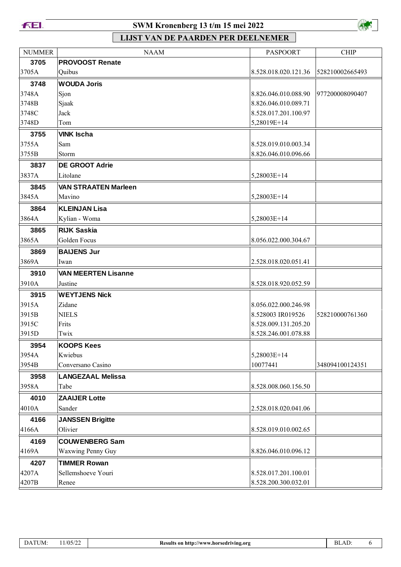



| <b>NUMMER</b> | <b>NAAM</b>                 | <b>PASPOORT</b>      | <b>CHIP</b>     |
|---------------|-----------------------------|----------------------|-----------------|
| 3705          | <b>PROVOOST Renate</b>      |                      |                 |
| 3705A         | Quibus                      | 8.528.018.020.121.36 | 528210002665493 |
| 3748          | <b>WOUDA Joris</b>          |                      |                 |
| 3748A         | Sjon                        | 8.826.046.010.088.90 | 977200008090407 |
| 3748B         | Sjaak                       | 8.826.046.010.089.71 |                 |
| 3748C         | Jack                        | 8.528.017.201.100.97 |                 |
| 3748D         | Tom                         | 5,28019E+14          |                 |
| 3755          | <b>VINK Ischa</b>           |                      |                 |
| 3755A         | Sam                         | 8.528.019.010.003.34 |                 |
| 3755B         | Storm                       | 8.826.046.010.096.66 |                 |
| 3837          | <b>DE GROOT Adrie</b>       |                      |                 |
| 3837A         | Litolane                    | 5,28003E+14          |                 |
| 3845          | <b>VAN STRAATEN Marleen</b> |                      |                 |
| 3845A         | Mavino                      | 5,28003E+14          |                 |
| 3864          | <b>KLEINJAN Lisa</b>        |                      |                 |
| 3864A         | Kylian - Woma               | 5,28003E+14          |                 |
| 3865          | <b>RIJK Saskia</b>          |                      |                 |
| 3865A         | Golden Focus                | 8.056.022.000.304.67 |                 |
| 3869          | <b>BAIJENS Jur</b>          |                      |                 |
| 3869A         | Iwan                        | 2.528.018.020.051.41 |                 |
| 3910          | <b>VAN MEERTEN Lisanne</b>  |                      |                 |
| 3910A         | Justine                     | 8.528.018.920.052.59 |                 |
| 3915          | <b>WEYTJENS Nick</b>        |                      |                 |
| 3915A         | Zidane                      | 8.056.022.000.246.98 |                 |
| 3915B         | <b>NIELS</b>                | 8.528003 IR019526    | 528210000761360 |
| 3915C         | Frits                       | 8.528.009.131.205.20 |                 |
| 3915D         | Twix                        | 8.528.246.001.078.88 |                 |
| 3954          | <b>KOOPS Kees</b>           |                      |                 |
| 3954A         | Kwiebus                     | 5,28003E+14          |                 |
| 3954B         | Conversano Casino           | 10077441             | 348094100124351 |
| 3958          | <b>LANGEZAAL Melissa</b>    |                      |                 |
| 3958A         | Tabe                        | 8.528.008.060.156.50 |                 |
| 4010          | <b>ZAAIJER Lotte</b>        |                      |                 |
| 4010A         | Sander                      | 2.528.018.020.041.06 |                 |
| 4166          | <b>JANSSEN Brigitte</b>     |                      |                 |
| 4166A         | Olivier                     | 8.528.019.010.002.65 |                 |
| 4169          | <b>COUWENBERG Sam</b>       |                      |                 |
| 4169A         | Waxwing Penny Guy           | 8.826.046.010.096.12 |                 |
| 4207          | <b>TIMMER Rowan</b>         |                      |                 |
| 4207A         | Sellemshoeve Youri          | 8.528.017.201.100.01 |                 |
| 4207B         | Renee                       | 8.528.200.300.032.01 |                 |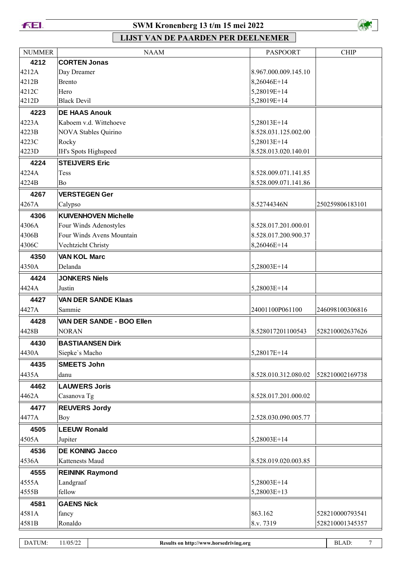**FEI.** 

### **SWM Kronenberg 13 t/m 15 mei 2022**



| <b>NUMMER</b> | <b>NAAM</b>                 | <b>PASPOORT</b>      | <b>CHIP</b>     |
|---------------|-----------------------------|----------------------|-----------------|
| 4212          | <b>CORTEN Jonas</b>         |                      |                 |
| 4212A         | Day Dreamer                 | 8.967.000.009.145.10 |                 |
| 4212B         | <b>Brento</b>               | 8,26046E+14          |                 |
| 4212C         | Hero                        | 5,28019E+14          |                 |
| 4212D         | <b>Black Devil</b>          | 5,28019E+14          |                 |
| 4223          | <b>DE HAAS Anouk</b>        |                      |                 |
| 4223A         | Kaboem v.d. Wittehoeve      | 5,28013E+14          |                 |
| 4223B         | NOVA Stables Quirino        | 8.528.031.125.002.00 |                 |
| 4223C         | Rocky                       | 5,28013E+14          |                 |
| 4223D         | IH's Spots Highspeed        | 8.528.013.020.140.01 |                 |
| 4224          | <b>STEIJVERS Eric</b>       |                      |                 |
| 4224A         | Tess                        | 8.528.009.071.141.85 |                 |
| 4224B         | Bo                          | 8.528.009.071.141.86 |                 |
| 4267          | <b>VERSTEGEN Ger</b>        |                      |                 |
| 4267A         | Calypso                     | 8.52744346N          | 250259806183101 |
| 4306          | <b>KUIVENHOVEN Michelle</b> |                      |                 |
| 4306A         | Four Winds Adenostyles      | 8.528.017.201.000.01 |                 |
| 4306B         | Four Winds Avens Mountain   | 8.528.017.200.900.37 |                 |
| 4306C         | Vechtzicht Christy          | 8,26046E+14          |                 |
| 4350          | <b>VAN KOL Marc</b>         |                      |                 |
| 4350A         | Delanda                     | 5,28003E+14          |                 |
| 4424          | <b>JONKERS Niels</b>        |                      |                 |
| 4424A         | Justin                      | 5,28003E+14          |                 |
| 4427          | <b>VAN DER SANDE Klaas</b>  |                      |                 |
| 4427A         | Sammie                      | 24001100P061100      | 246098100306816 |
| 4428          | VAN DER SANDE - BOO Ellen   |                      |                 |
| 4428B         | <b>NORAN</b>                | 8.528017201100543    | 528210002637626 |
| 4430          | <b>BASTIAANSEN Dirk</b>     |                      |                 |
| 4430A         | Siepke's Macho              | 5,28017E+14          |                 |
| 4435          | <b>SMEETS John</b>          |                      |                 |
| 4435A         | danu                        | 8.528.010.312.080.02 | 528210002169738 |
| 4462          | <b>LAUWERS Joris</b>        |                      |                 |
| 4462A         | Casanova Tg                 | 8.528.017.201.000.02 |                 |
| 4477          | <b>REUVERS Jordy</b>        |                      |                 |
| 4477A         | Boy                         | 2.528.030.090.005.77 |                 |
| 4505          | <b>LEEUW Ronald</b>         |                      |                 |
| 4505A         | Jupiter                     | 5,28003E+14          |                 |
|               | <b>DE KONING Jacco</b>      |                      |                 |
| 4536          | Kattenests Maud             | 8.528.019.020.003.85 |                 |
| 4536A         |                             |                      |                 |
| 4555          | <b>REININK Raymond</b>      |                      |                 |
| 4555A         | Landgraaf                   | 5,28003E+14          |                 |
| 4555B         | fellow                      | 5,28003E+13          |                 |
| 4581          | <b>GAENS Nick</b>           |                      |                 |
| 4581A         | fancy                       | 863.162              | 528210000793541 |
| 4581B         | Ronaldo                     | 8.v. 7319            | 528210001345357 |